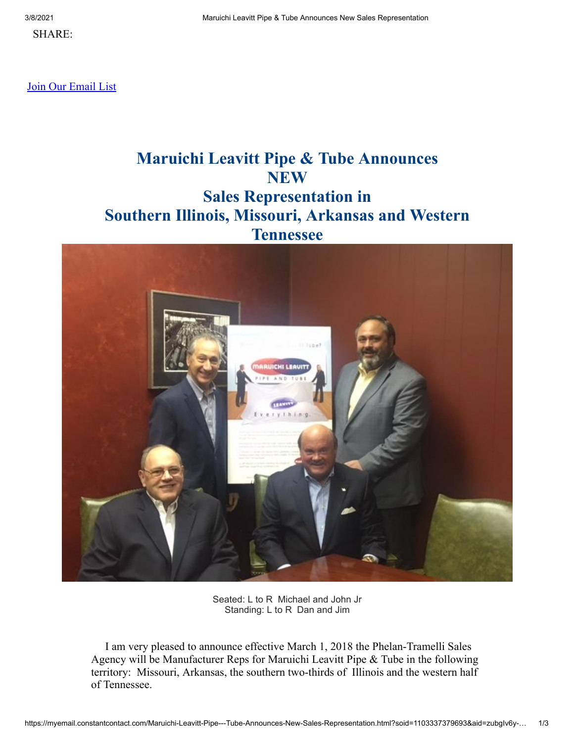SHARE:

[Join Our Email List](https://visitor.constantcontact.com/d.jsp?m=1103337379693&p=oi)

# **Maruichi Leavitt Pipe & Tube Announces NEW Sales Representation in Southern Illinois, Missouri, Arkansas and Western Tennessee**



Seated: L to R Michael and John Jr Standing: L to R Dan and Jim

 I am very pleased to announce effective March 1, 2018 the Phelan-Tramelli Sales Agency will be Manufacturer Reps for Maruichi Leavitt Pipe & Tube in the following territory: Missouri, Arkansas, the southern two-thirds of Illinois and the western half of Tennessee.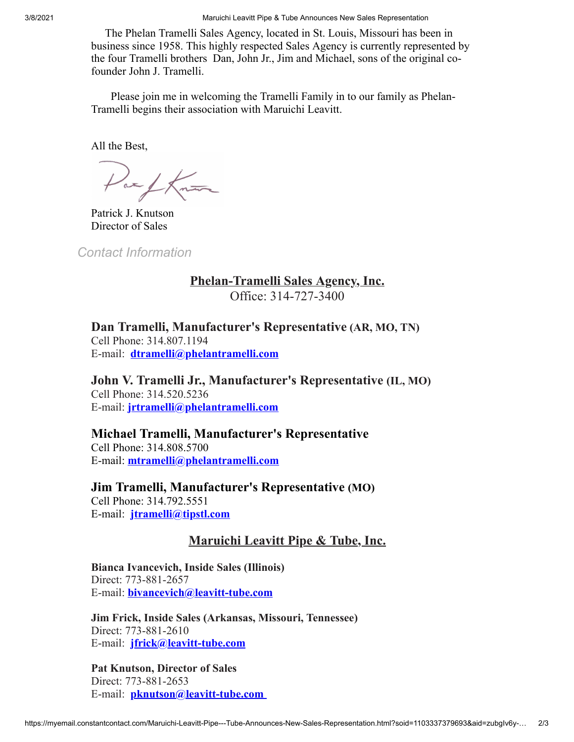3/8/2021 Maruichi Leavitt Pipe & Tube Announces New Sales Representation

 The Phelan Tramelli Sales Agency, located in St. Louis, Missouri has been in business since 1958. This highly respected Sales Agency is currently represented by the four Tramelli brothers Dan, John Jr., Jim and Michael, sons of the original cofounder John J. Tramelli.

 Please join me in welcoming the Tramelli Family in to our family as Phelan-Tramelli begins their association with Maruichi Leavitt.

All the Best,

Parthan

Patrick J. Knutson Director of Sales

*Contact Information*

#### **Phelan-Tramelli Sales Agency, Inc.**

Office: 314-727-3400

**Dan Tramelli, Manufacturer's Representative (AR, MO, TN)** Cell Phone: 314.807.1194 E-mail: **[dtramelli@phelantramelli.com](mailto:dtramelli@phelantramelli.com)**

**John V. Tramelli Jr., Manufacturer's Representative (IL, MO)** Cell Phone: 314.520.5236 E-mail: **[jrtramelli@phelantramelli.com](mailto:jrtramelli@phelantramelli.com)**

### **Michael Tramelli, Manufacturer's Representative**

Cell Phone: 314.808.5700 E-mail: **[mtramelli@phelantramelli.com](mailto:mtramelli@phelantramelli.com)**

**Jim Tramelli, Manufacturer's Representative (MO)**

Cell Phone: 314.792.5551 E-mail: **[jtramelli@tipstl.com](mailto:jtramelli@tipstl.com)**

#### **Maruichi Leavitt Pipe & Tube, Inc.**

**Bianca Ivancevich, Inside Sales (Illinois)** Direct: 773-881-2657 E-mail: **[bivancevich@leavitt-tube.com](mailto:bivancevich@leavitt-tube.com)**

**Jim Frick, Inside Sales (Arkansas, Missouri, Tennessee)** Direct: 773-881-2610 E-mail: **[jfrick@leavitt-tube.com](mailto:jfrick@leavitt-tube.com)**

**Pat Knutson, Director of Sales** Direct: 773-881-2653 E-mail: **[pknutson@leavitt-tube.com](mailto:pknutson@leavitt-tube.com)**